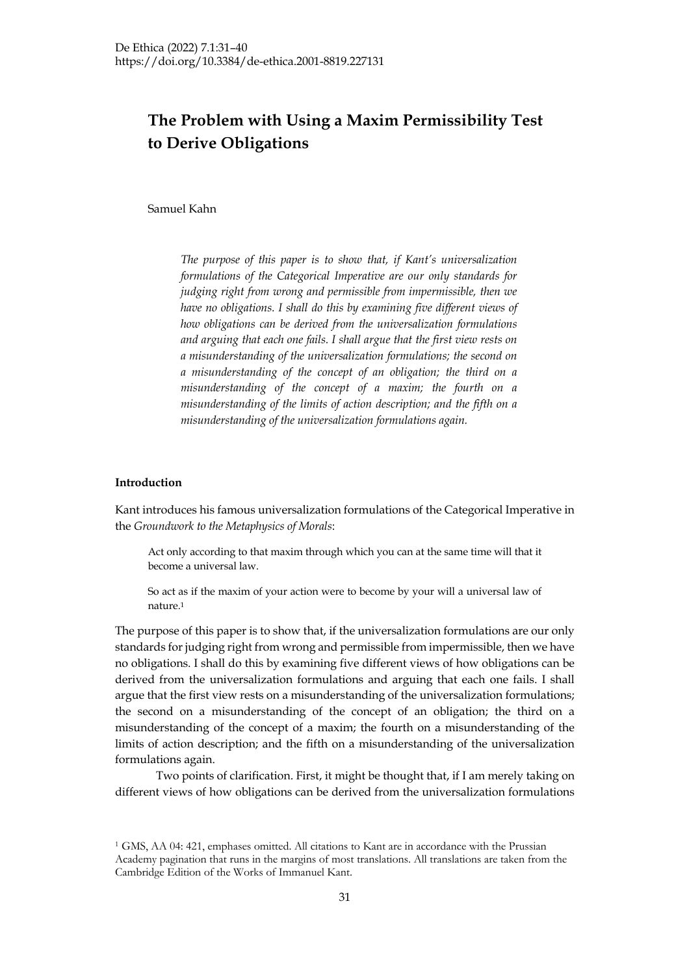# **The Problem with Using a Maxim Permissibility Test to Derive Obligations**

Samuel Kahn

*The purpose of this paper is to show that, if Kant's universalization formulations of the Categorical Imperative are our only standards for judging right from wrong and permissible from impermissible, then we have no obligations. I shall do this by examining five different views of how obligations can be derived from the universalization formulations and arguing that each one fails. I shall argue that the first view rests on a misunderstanding of the universalization formulations; the second on a misunderstanding of the concept of an obligation; the third on a misunderstanding of the concept of a maxim; the fourth on a misunderstanding of the limits of action description; and the fifth on a misunderstanding of the universalization formulations again.*

# **Introduction**

Kant introduces his famous universalization formulations of the Categorical Imperative in the *Groundwork to the Metaphysics of Morals*:

Act only according to that maxim through which you can at the same time will that it become a universal law.

So act as if the maxim of your action were to become by your will a universal law of nature.1

The purpose of this paper is to show that, if the universalization formulations are our only standards for judging right from wrong and permissible from impermissible, then we have no obligations. I shall do this by examining five different views of how obligations can be derived from the universalization formulations and arguing that each one fails. I shall argue that the first view rests on a misunderstanding of the universalization formulations; the second on a misunderstanding of the concept of an obligation; the third on a misunderstanding of the concept of a maxim; the fourth on a misunderstanding of the limits of action description; and the fifth on a misunderstanding of the universalization formulations again.

Two points of clarification. First, it might be thought that, if I am merely taking on different views of how obligations can be derived from the universalization formulations

<sup>1</sup> GMS, AA 04: 421, emphases omitted. All citations to Kant are in accordance with the Prussian Academy pagination that runs in the margins of most translations. All translations are taken from the Cambridge Edition of the Works of Immanuel Kant.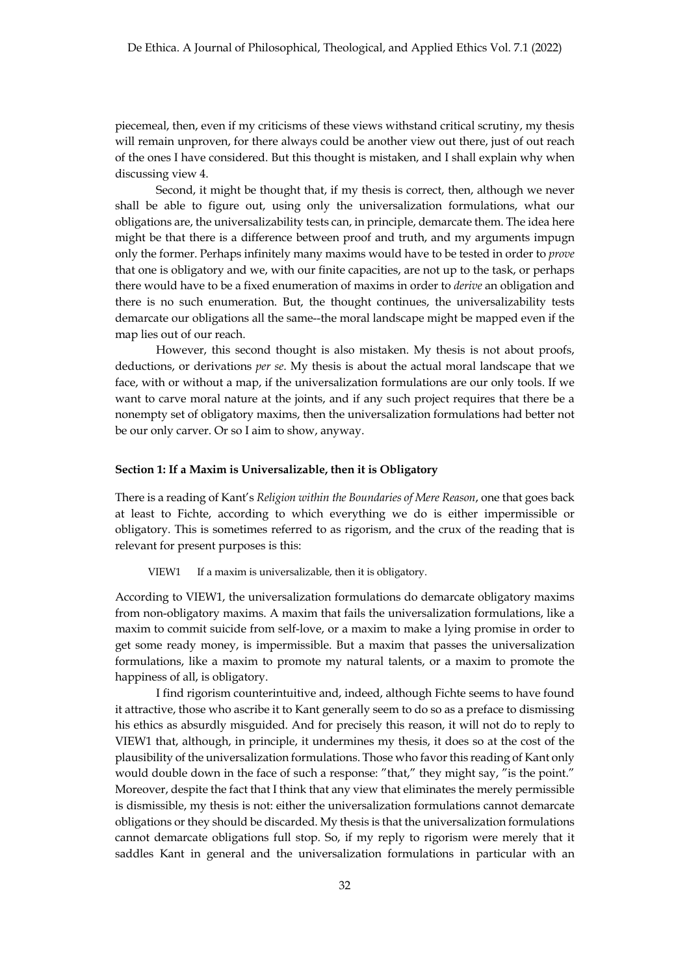piecemeal, then, even if my criticisms of these views withstand critical scrutiny, my thesis will remain unproven, for there always could be another view out there, just of out reach of the ones I have considered. But this thought is mistaken, and I shall explain why when discussing view 4.

Second, it might be thought that, if my thesis is correct, then, although we never shall be able to figure out, using only the universalization formulations, what our obligations are, the universalizability tests can, in principle, demarcate them. The idea here might be that there is a difference between proof and truth, and my arguments impugn only the former. Perhaps infinitely many maxims would have to be tested in order to *prove* that one is obligatory and we, with our finite capacities, are not up to the task, or perhaps there would have to be a fixed enumeration of maxims in order to *derive* an obligation and there is no such enumeration. But, the thought continues, the universalizability tests demarcate our obligations all the same--the moral landscape might be mapped even if the map lies out of our reach.

However, this second thought is also mistaken. My thesis is not about proofs, deductions, or derivations *per se*. My thesis is about the actual moral landscape that we face, with or without a map, if the universalization formulations are our only tools. If we want to carve moral nature at the joints, and if any such project requires that there be a nonempty set of obligatory maxims, then the universalization formulations had better not be our only carver. Or so I aim to show, anyway.

#### **Section 1: If a Maxim is Universalizable, then it is Obligatory**

There is a reading of Kant's *Religion within the Boundaries of Mere Reason*, one that goes back at least to Fichte, according to which everything we do is either impermissible or obligatory. This is sometimes referred to as rigorism, and the crux of the reading that is relevant for present purposes is this:

VIEW1 If a maxim is universalizable, then it is obligatory.

According to VIEW1, the universalization formulations do demarcate obligatory maxims from non-obligatory maxims. A maxim that fails the universalization formulations, like a maxim to commit suicide from self-love, or a maxim to make a lying promise in order to get some ready money, is impermissible. But a maxim that passes the universalization formulations, like a maxim to promote my natural talents, or a maxim to promote the happiness of all, is obligatory.

I find rigorism counterintuitive and, indeed, although Fichte seems to have found it attractive, those who ascribe it to Kant generally seem to do so as a preface to dismissing his ethics as absurdly misguided. And for precisely this reason, it will not do to reply to VIEW1 that, although, in principle, it undermines my thesis, it does so at the cost of the plausibility of the universalization formulations. Those who favor this reading of Kant only would double down in the face of such a response: "that," they might say, "is the point." Moreover, despite the fact that I think that any view that eliminates the merely permissible is dismissible, my thesis is not: either the universalization formulations cannot demarcate obligations or they should be discarded. My thesis is that the universalization formulations cannot demarcate obligations full stop. So, if my reply to rigorism were merely that it saddles Kant in general and the universalization formulations in particular with an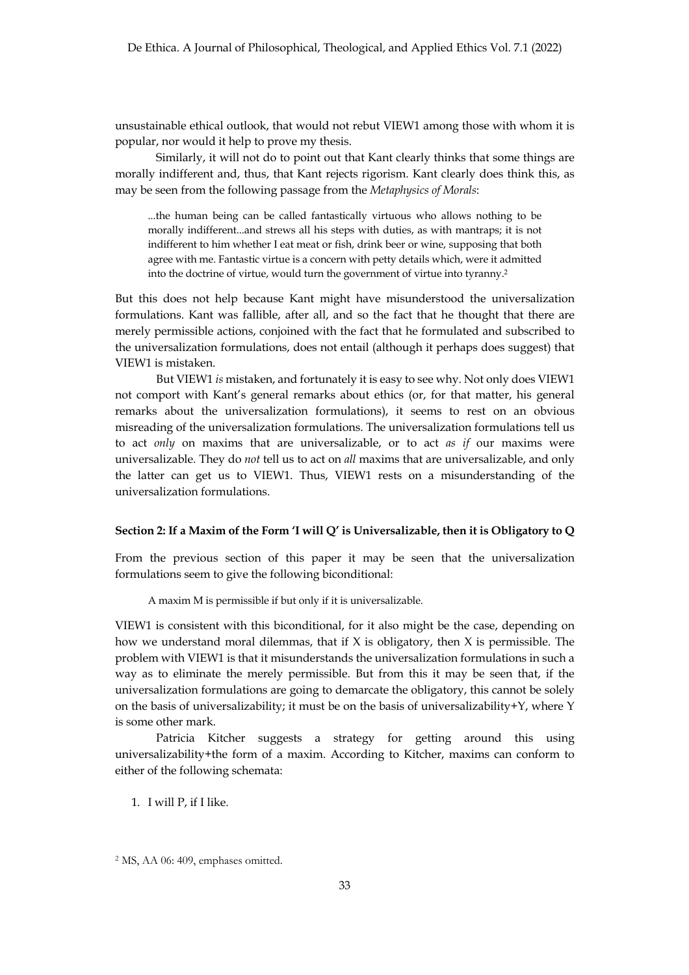unsustainable ethical outlook, that would not rebut VIEW1 among those with whom it is popular, nor would it help to prove my thesis.

Similarly, it will not do to point out that Kant clearly thinks that some things are morally indifferent and, thus, that Kant rejects rigorism. Kant clearly does think this, as may be seen from the following passage from the *Metaphysics of Morals*:

...the human being can be called fantastically virtuous who allows nothing to be morally indifferent...and strews all his steps with duties, as with mantraps; it is not indifferent to him whether I eat meat or fish, drink beer or wine, supposing that both agree with me. Fantastic virtue is a concern with petty details which, were it admitted into the doctrine of virtue, would turn the government of virtue into tyranny.2

But this does not help because Kant might have misunderstood the universalization formulations. Kant was fallible, after all, and so the fact that he thought that there are merely permissible actions, conjoined with the fact that he formulated and subscribed to the universalization formulations, does not entail (although it perhaps does suggest) that VIEW1 is mistaken.

But VIEW1 *is* mistaken, and fortunately it is easy to see why. Not only does VIEW1 not comport with Kant's general remarks about ethics (or, for that matter, his general remarks about the universalization formulations), it seems to rest on an obvious misreading of the universalization formulations. The universalization formulations tell us to act *only* on maxims that are universalizable, or to act *as if* our maxims were universalizable. They do *not* tell us to act on *all* maxims that are universalizable, and only the latter can get us to VIEW1. Thus, VIEW1 rests on a misunderstanding of the universalization formulations.

### **Section 2: If a Maxim of the Form 'I will Q' is Universalizable, then it is Obligatory to Q**

From the previous section of this paper it may be seen that the universalization formulations seem to give the following biconditional:

A maxim M is permissible if but only if it is universalizable.

VIEW1 is consistent with this biconditional, for it also might be the case, depending on how we understand moral dilemmas, that if  $X$  is obligatory, then  $X$  is permissible. The problem with VIEW1 is that it misunderstands the universalization formulations in such a way as to eliminate the merely permissible. But from this it may be seen that, if the universalization formulations are going to demarcate the obligatory, this cannot be solely on the basis of universalizability; it must be on the basis of universalizability+Y, where Y is some other mark.

Patricia Kitcher suggests a strategy for getting around this using universalizability+the form of a maxim. According to Kitcher, maxims can conform to either of the following schemata:

1. I will P, if I like.

<sup>2</sup> MS, AA 06: 409, emphases omitted.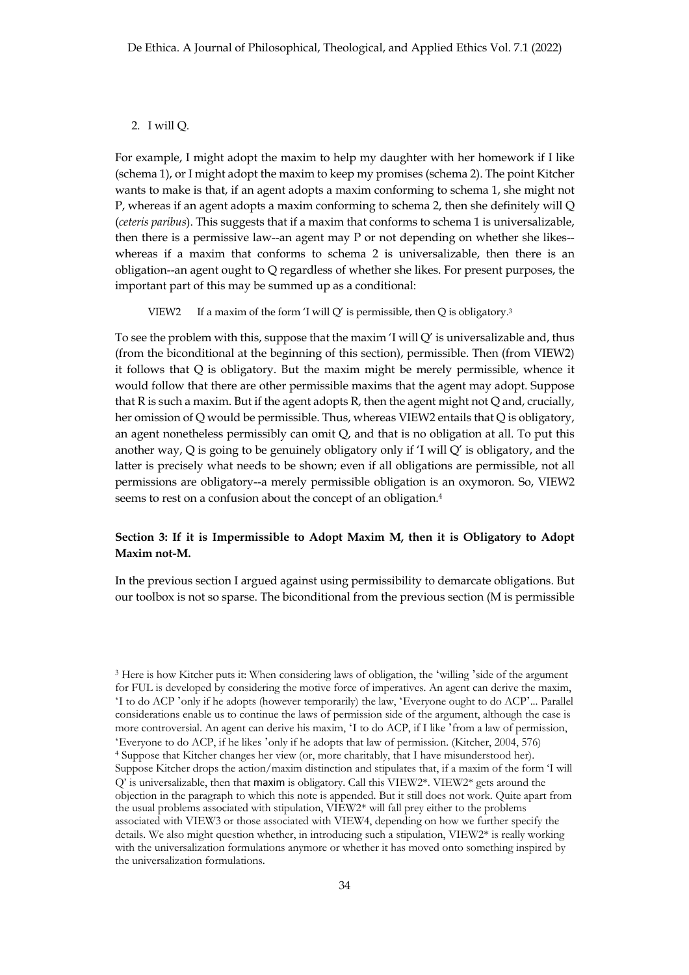### 2. I will Q.

For example, I might adopt the maxim to help my daughter with her homework if I like (schema 1), or I might adopt the maxim to keep my promises (schema 2). The point Kitcher wants to make is that, if an agent adopts a maxim conforming to schema 1, she might not P, whereas if an agent adopts a maxim conforming to schema 2, then she definitely will Q (*ceteris paribus*). This suggests that if a maxim that conforms to schema 1 is universalizable, then there is a permissive law--an agent may P or not depending on whether she likes- whereas if a maxim that conforms to schema 2 is universalizable, then there is an obligation--an agent ought to Q regardless of whether she likes. For present purposes, the important part of this may be summed up as a conditional:

VIEW2 If a maxim of the form 'I will Q' is permissible, then Q is obligatory.<sup>3</sup>

To see the problem with this, suppose that the maxim  $\Gamma$  will  $Q'$  is universalizable and, thus (from the biconditional at the beginning of this section), permissible. Then (from VIEW2) it follows that Q is obligatory. But the maxim might be merely permissible, whence it would follow that there are other permissible maxims that the agent may adopt. Suppose that  $R$  is such a maxim. But if the agent adopts  $R$ , then the agent might not  $Q$  and, crucially, her omission of Q would be permissible. Thus, whereas VIEW2 entails that Q is obligatory, an agent nonetheless permissibly can omit Q, and that is no obligation at all. To put this another way,  $Q$  is going to be genuinely obligatory only if  $T$  will  $Q'$  is obligatory, and the latter is precisely what needs to be shown; even if all obligations are permissible, not all permissions are obligatory--a merely permissible obligation is an oxymoron. So, VIEW2 seems to rest on a confusion about the concept of an obligation.4

# **Section 3: If it is Impermissible to Adopt Maxim M, then it is Obligatory to Adopt Maxim not-M.**

In the previous section I argued against using permissibility to demarcate obligations. But our toolbox is not so sparse. The biconditional from the previous section (M is permissible

<sup>3</sup> Here is how Kitcher puts it: When considering laws of obligation, the 'willing 'side of the argument for FUL is developed by considering the motive force of imperatives. An agent can derive the maxim, 'I to do ACP 'only if he adopts (however temporarily) the law, 'Everyone ought to do ACP'... Parallel considerations enable us to continue the laws of permission side of the argument, although the case is more controversial. An agent can derive his maxim, 'I to do ACP, if I like 'from a law of permission, 'Everyone to do ACP, if he likes 'only if he adopts that law of permission. (Kitcher, 2004, 576) <sup>4</sup> Suppose that Kitcher changes her view (or, more charitably, that I have misunderstood her). Suppose Kitcher drops the action/maxim distinction and stipulates that, if a maxim of the form 'I will Q' is universalizable, then that maxim is obligatory. Call this VIEW2\*. VIEW2\* gets around the objection in the paragraph to which this note is appended. But it still does not work. Quite apart from the usual problems associated with stipulation, VIEW2\* will fall prey either to the problems associated with VIEW3 or those associated with VIEW4, depending on how we further specify the details. We also might question whether, in introducing such a stipulation, VIEW2\* is really working with the universalization formulations anymore or whether it has moved onto something inspired by the universalization formulations.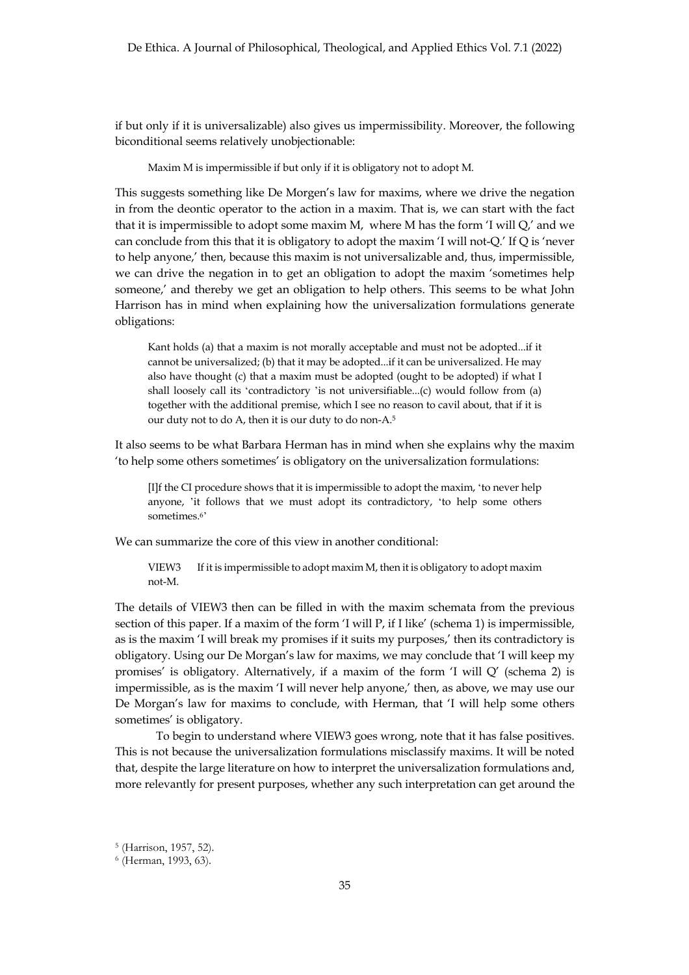if but only if it is universalizable) also gives us impermissibility. Moreover, the following biconditional seems relatively unobjectionable:

Maxim M is impermissible if but only if it is obligatory not to adopt M.

This suggests something like De Morgen's law for maxims, where we drive the negation in from the deontic operator to the action in a maxim. That is, we can start with the fact that it is impermissible to adopt some maxim M, where M has the form 'I will Q,' and we can conclude from this that it is obligatory to adopt the maxim 'I will not-Q.' If Q is 'never to help anyone,' then, because this maxim is not universalizable and, thus, impermissible, we can drive the negation in to get an obligation to adopt the maxim 'sometimes help someone,' and thereby we get an obligation to help others. This seems to be what John Harrison has in mind when explaining how the universalization formulations generate obligations:

Kant holds (a) that a maxim is not morally acceptable and must not be adopted...if it cannot be universalized; (b) that it may be adopted...if it can be universalized. He may also have thought (c) that a maxim must be adopted (ought to be adopted) if what I shall loosely call its 'contradictory 'is not universifiable...(c) would follow from (a) together with the additional premise, which I see no reason to cavil about, that if it is our duty not to do A, then it is our duty to do non-A.5

It also seems to be what Barbara Herman has in mind when she explains why the maxim 'to help some others sometimes' is obligatory on the universalization formulations:

[I]f the CI procedure shows that it is impermissible to adopt the maxim, 'to never help anyone, 'it follows that we must adopt its contradictory, 'to help some others sometimes.6'

We can summarize the core of this view in another conditional:

VIEW3 If it is impermissible to adopt maxim M, then it is obligatory to adopt maxim not-M.

The details of VIEW3 then can be filled in with the maxim schemata from the previous section of this paper. If a maxim of the form 'I will P, if I like' (schema 1) is impermissible, as is the maxim 'I will break my promises if it suits my purposes,' then its contradictory is obligatory. Using our De Morgan's law for maxims, we may conclude that 'I will keep my promises' is obligatory. Alternatively, if a maxim of the form 'I will Q' (schema 2) is impermissible, as is the maxim 'I will never help anyone,' then, as above, we may use our De Morgan's law for maxims to conclude, with Herman, that 'I will help some others sometimes' is obligatory.

To begin to understand where VIEW3 goes wrong, note that it has false positives. This is not because the universalization formulations misclassify maxims. It will be noted that, despite the large literature on how to interpret the universalization formulations and, more relevantly for present purposes, whether any such interpretation can get around the

<sup>5</sup> (Harrison, 1957, 52).

<sup>6</sup> (Herman, 1993, 63).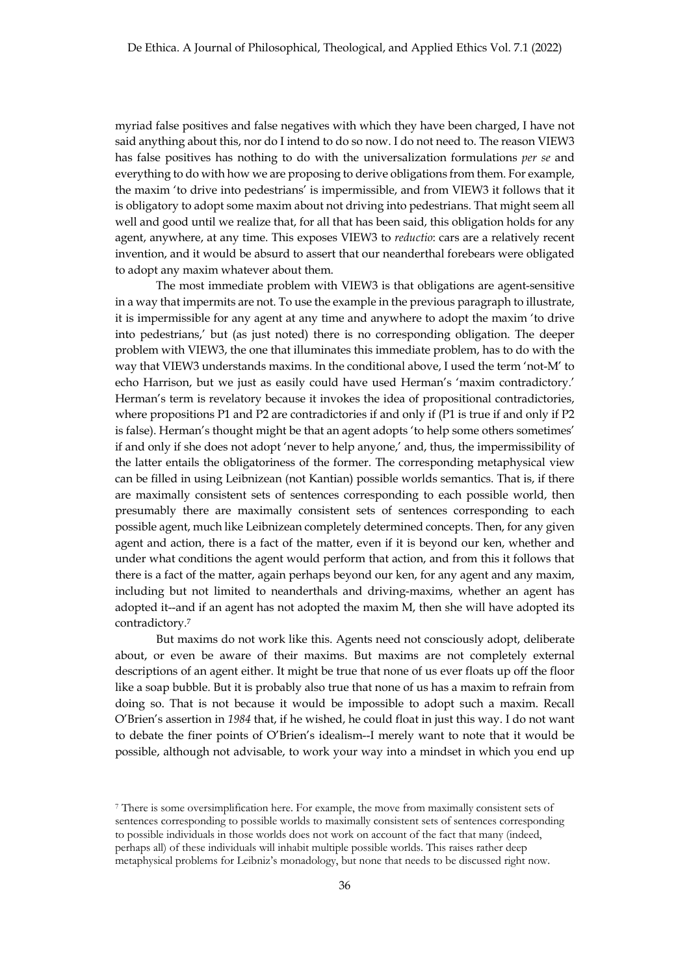myriad false positives and false negatives with which they have been charged, I have not said anything about this, nor do I intend to do so now. I do not need to. The reason VIEW3 has false positives has nothing to do with the universalization formulations *per se* and everything to do with how we are proposing to derive obligations from them. For example, the maxim 'to drive into pedestrians' is impermissible, and from VIEW3 it follows that it is obligatory to adopt some maxim about not driving into pedestrians. That might seem all well and good until we realize that, for all that has been said, this obligation holds for any agent, anywhere, at any time. This exposes VIEW3 to *reductio*: cars are a relatively recent invention, and it would be absurd to assert that our neanderthal forebears were obligated to adopt any maxim whatever about them.

The most immediate problem with VIEW3 is that obligations are agent-sensitive in a way that impermits are not. To use the example in the previous paragraph to illustrate, it is impermissible for any agent at any time and anywhere to adopt the maxim 'to drive into pedestrians,' but (as just noted) there is no corresponding obligation. The deeper problem with VIEW3, the one that illuminates this immediate problem, has to do with the way that VIEW3 understands maxims. In the conditional above, I used the term 'not-M' to echo Harrison, but we just as easily could have used Herman's 'maxim contradictory.' Herman's term is revelatory because it invokes the idea of propositional contradictories, where propositions P1 and P2 are contradictories if and only if (P1 is true if and only if P2 is false). Herman's thought might be that an agent adopts 'to help some others sometimes' if and only if she does not adopt 'never to help anyone,' and, thus, the impermissibility of the latter entails the obligatoriness of the former. The corresponding metaphysical view can be filled in using Leibnizean (not Kantian) possible worlds semantics. That is, if there are maximally consistent sets of sentences corresponding to each possible world, then presumably there are maximally consistent sets of sentences corresponding to each possible agent, much like Leibnizean completely determined concepts. Then, for any given agent and action, there is a fact of the matter, even if it is beyond our ken, whether and under what conditions the agent would perform that action, and from this it follows that there is a fact of the matter, again perhaps beyond our ken, for any agent and any maxim, including but not limited to neanderthals and driving-maxims, whether an agent has adopted it--and if an agent has not adopted the maxim M, then she will have adopted its contradictory.7

But maxims do not work like this. Agents need not consciously adopt, deliberate about, or even be aware of their maxims. But maxims are not completely external descriptions of an agent either. It might be true that none of us ever floats up off the floor like a soap bubble. But it is probably also true that none of us has a maxim to refrain from doing so. That is not because it would be impossible to adopt such a maxim. Recall O'Brien's assertion in *1984* that, if he wished, he could float in just this way. I do not want to debate the finer points of O'Brien's idealism--I merely want to note that it would be possible, although not advisable, to work your way into a mindset in which you end up

<sup>7</sup> There is some oversimplification here. For example, the move from maximally consistent sets of sentences corresponding to possible worlds to maximally consistent sets of sentences corresponding to possible individuals in those worlds does not work on account of the fact that many (indeed, perhaps all) of these individuals will inhabit multiple possible worlds. This raises rather deep metaphysical problems for Leibniz's monadology, but none that needs to be discussed right now.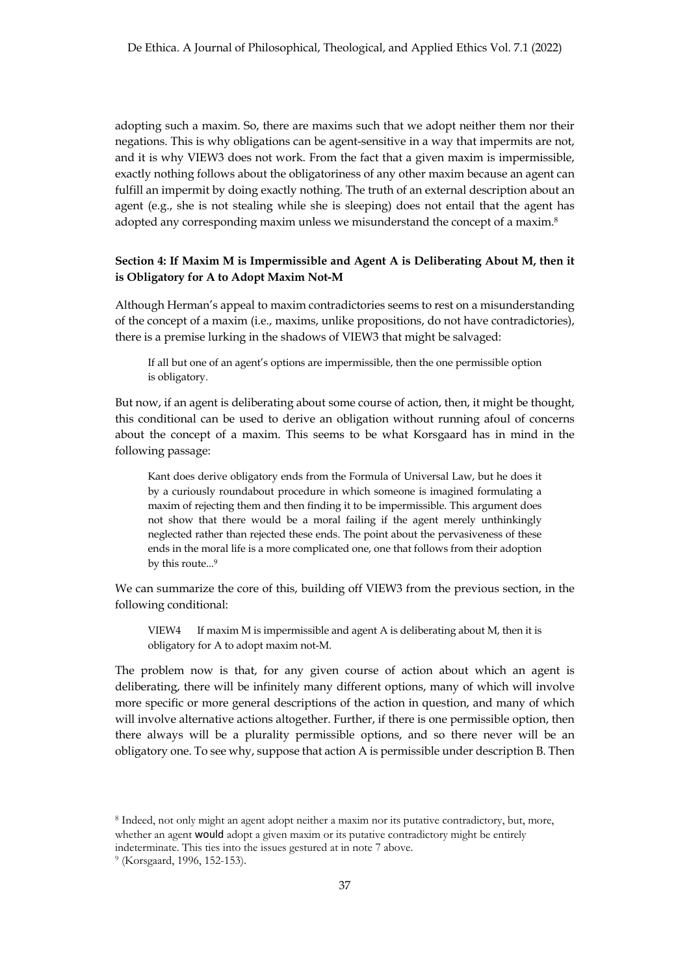adopting such a maxim. So, there are maxims such that we adopt neither them nor their negations. This is why obligations can be agent-sensitive in a way that impermits are not, and it is why VIEW3 does not work. From the fact that a given maxim is impermissible, exactly nothing follows about the obligatoriness of any other maxim because an agent can fulfill an impermit by doing exactly nothing. The truth of an external description about an agent (e.g., she is not stealing while she is sleeping) does not entail that the agent has adopted any corresponding maxim unless we misunderstand the concept of a maxim.<sup>8</sup>

# **Section 4: If Maxim M is Impermissible and Agent A is Deliberating About M, then it is Obligatory for A to Adopt Maxim Not-M**

Although Herman's appeal to maxim contradictories seems to rest on a misunderstanding of the concept of a maxim (i.e., maxims, unlike propositions, do not have contradictories), there is a premise lurking in the shadows of VIEW3 that might be salvaged:

If all but one of an agent's options are impermissible, then the one permissible option is obligatory.

But now, if an agent is deliberating about some course of action, then, it might be thought, this conditional can be used to derive an obligation without running afoul of concerns about the concept of a maxim. This seems to be what Korsgaard has in mind in the following passage:

Kant does derive obligatory ends from the Formula of Universal Law, but he does it by a curiously roundabout procedure in which someone is imagined formulating a maxim of rejecting them and then finding it to be impermissible. This argument does not show that there would be a moral failing if the agent merely unthinkingly neglected rather than rejected these ends. The point about the pervasiveness of these ends in the moral life is a more complicated one, one that follows from their adoption by this route...9

We can summarize the core of this, building off VIEW3 from the previous section, in the following conditional:

VIEW4 If maxim M is impermissible and agent A is deliberating about M, then it is obligatory for A to adopt maxim not-M.

The problem now is that, for any given course of action about which an agent is deliberating, there will be infinitely many different options, many of which will involve more specific or more general descriptions of the action in question, and many of which will involve alternative actions altogether. Further, if there is one permissible option, then there always will be a plurality permissible options, and so there never will be an obligatory one. To see why, suppose that action A is permissible under description B. Then

<sup>8</sup> Indeed, not only might an agent adopt neither a maxim nor its putative contradictory, but, more, whether an agent **would** adopt a given maxim or its putative contradictory might be entirely

indeterminate. This ties into the issues gestured at in note 7 above.

<sup>9</sup> (Korsgaard, 1996, 152-153).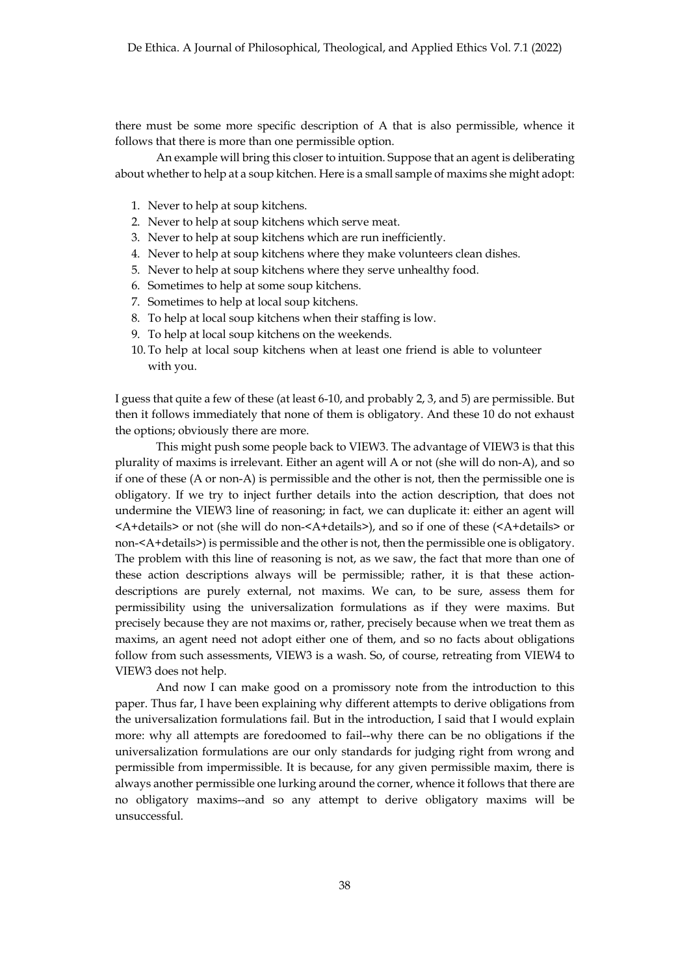there must be some more specific description of A that is also permissible, whence it follows that there is more than one permissible option.

An example will bring this closer to intuition. Suppose that an agent is deliberating about whether to help at a soup kitchen. Here is a small sample of maxims she might adopt:

- 1. Never to help at soup kitchens.
- 2. Never to help at soup kitchens which serve meat.
- 3. Never to help at soup kitchens which are run inefficiently.
- 4. Never to help at soup kitchens where they make volunteers clean dishes.
- 5. Never to help at soup kitchens where they serve unhealthy food.
- 6. Sometimes to help at some soup kitchens.
- 7. Sometimes to help at local soup kitchens.
- 8. To help at local soup kitchens when their staffing is low.
- 9. To help at local soup kitchens on the weekends.
- 10. To help at local soup kitchens when at least one friend is able to volunteer with you.

I guess that quite a few of these (at least 6-10, and probably 2, 3, and 5) are permissible. But then it follows immediately that none of them is obligatory. And these 10 do not exhaust the options; obviously there are more.

This might push some people back to VIEW3. The advantage of VIEW3 is that this plurality of maxims is irrelevant. Either an agent will A or not (she will do non-A), and so if one of these (A or non-A) is permissible and the other is not, then the permissible one is obligatory. If we try to inject further details into the action description, that does not undermine the VIEW3 line of reasoning; in fact, we can duplicate it: either an agent will <A+details> or not (she will do non-<A+details>), and so if one of these (<A+details> or non-<A+details>) is permissible and the other is not, then the permissible one is obligatory. The problem with this line of reasoning is not, as we saw, the fact that more than one of these action descriptions always will be permissible; rather, it is that these actiondescriptions are purely external, not maxims. We can, to be sure, assess them for permissibility using the universalization formulations as if they were maxims. But precisely because they are not maxims or, rather, precisely because when we treat them as maxims, an agent need not adopt either one of them, and so no facts about obligations follow from such assessments, VIEW3 is a wash. So, of course, retreating from VIEW4 to VIEW3 does not help.

And now I can make good on a promissory note from the introduction to this paper. Thus far, I have been explaining why different attempts to derive obligations from the universalization formulations fail. But in the introduction, I said that I would explain more: why all attempts are foredoomed to fail--why there can be no obligations if the universalization formulations are our only standards for judging right from wrong and permissible from impermissible. It is because, for any given permissible maxim, there is always another permissible one lurking around the corner, whence it follows that there are no obligatory maxims--and so any attempt to derive obligatory maxims will be unsuccessful.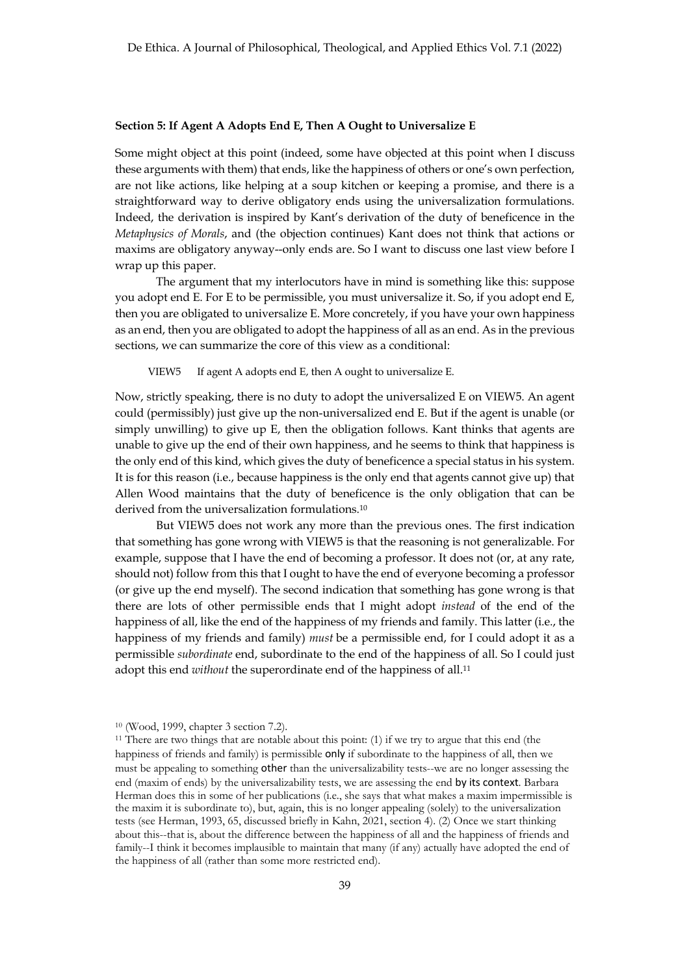#### **Section 5: If Agent A Adopts End E, Then A Ought to Universalize E**

Some might object at this point (indeed, some have objected at this point when I discuss these arguments with them) that ends, like the happiness of others or one's own perfection, are not like actions, like helping at a soup kitchen or keeping a promise, and there is a straightforward way to derive obligatory ends using the universalization formulations. Indeed, the derivation is inspired by Kant's derivation of the duty of beneficence in the *Metaphysics of Morals*, and (the objection continues) Kant does not think that actions or maxims are obligatory anyway--only ends are. So I want to discuss one last view before I wrap up this paper.

The argument that my interlocutors have in mind is something like this: suppose you adopt end E. For E to be permissible, you must universalize it. So, if you adopt end E, then you are obligated to universalize E. More concretely, if you have your own happiness as an end, then you are obligated to adopt the happiness of all as an end. As in the previous sections, we can summarize the core of this view as a conditional:

VIEW5 If agent A adopts end E, then A ought to universalize E.

Now, strictly speaking, there is no duty to adopt the universalized E on VIEW5. An agent could (permissibly) just give up the non-universalized end E. But if the agent is unable (or simply unwilling) to give up E, then the obligation follows. Kant thinks that agents are unable to give up the end of their own happiness, and he seems to think that happiness is the only end of this kind, which gives the duty of beneficence a special status in his system. It is for this reason (i.e., because happiness is the only end that agents cannot give up) that Allen Wood maintains that the duty of beneficence is the only obligation that can be derived from the universalization formulations.10

But VIEW5 does not work any more than the previous ones. The first indication that something has gone wrong with VIEW5 is that the reasoning is not generalizable. For example, suppose that I have the end of becoming a professor. It does not (or, at any rate, should not) follow from this that I ought to have the end of everyone becoming a professor (or give up the end myself). The second indication that something has gone wrong is that there are lots of other permissible ends that I might adopt *instead* of the end of the happiness of all, like the end of the happiness of my friends and family. This latter (i.e., the happiness of my friends and family) *must* be a permissible end, for I could adopt it as a permissible *subordinate* end, subordinate to the end of the happiness of all. So I could just adopt this end *without* the superordinate end of the happiness of all.11

<sup>10</sup> (Wood, 1999, chapter 3 section 7.2).

<sup>11</sup> There are two things that are notable about this point: (1) if we try to argue that this end (the happiness of friends and family) is permissible only if subordinate to the happiness of all, then we must be appealing to something other than the universalizability tests--we are no longer assessing the end (maxim of ends) by the universalizability tests, we are assessing the end by its context. Barbara Herman does this in some of her publications (i.e., she says that what makes a maxim impermissible is the maxim it is subordinate to), but, again, this is no longer appealing (solely) to the universalization tests (see Herman, 1993, 65, discussed briefly in Kahn, 2021, section 4). (2) Once we start thinking about this--that is, about the difference between the happiness of all and the happiness of friends and family--I think it becomes implausible to maintain that many (if any) actually have adopted the end of the happiness of all (rather than some more restricted end).